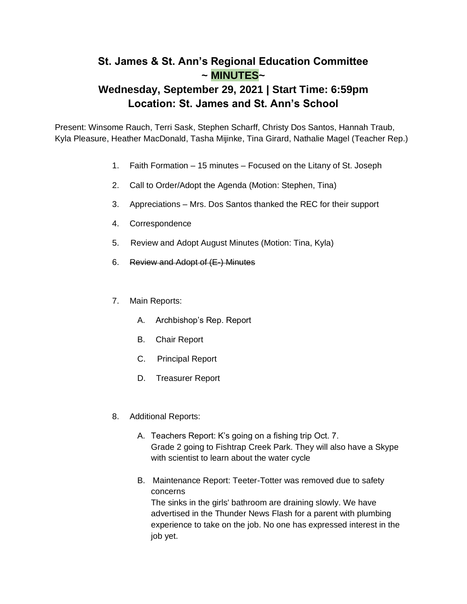## **St. James & St. Ann's Regional Education Committee ~ MINUTES~**

## **Wednesday, September 29, 2021 | Start Time: 6:59pm Location: St. James and St. Ann's School**

Present: Winsome Rauch, Terri Sask, Stephen Scharff, Christy Dos Santos, Hannah Traub, Kyla Pleasure, Heather MacDonald, Tasha Mijinke, Tina Girard, Nathalie Magel (Teacher Rep.)

- 1. Faith Formation 15 minutes Focused on the Litany of St. Joseph
- 2. Call to Order/Adopt the Agenda (Motion: Stephen, Tina)
- 3. Appreciations Mrs. Dos Santos thanked the REC for their support
- 4. Correspondence
- 5. Review and Adopt August Minutes (Motion: Tina, Kyla)
- 6. Review and Adopt of (E-) Minutes
- 7. Main Reports:
	- A. Archbishop's Rep. Report
	- B. Chair Report
	- C. Principal Report
	- D. Treasurer Report
- 8. Additional Reports:
	- A. Teachers Report: K's going on a fishing trip Oct. 7. Grade 2 going to Fishtrap Creek Park. They will also have a Skype with scientist to learn about the water cycle
	- B. Maintenance Report: Teeter-Totter was removed due to safety concerns The sinks in the girls' bathroom are draining slowly. We have advertised in the Thunder News Flash for a parent with plumbing experience to take on the job. No one has expressed interest in the job yet.